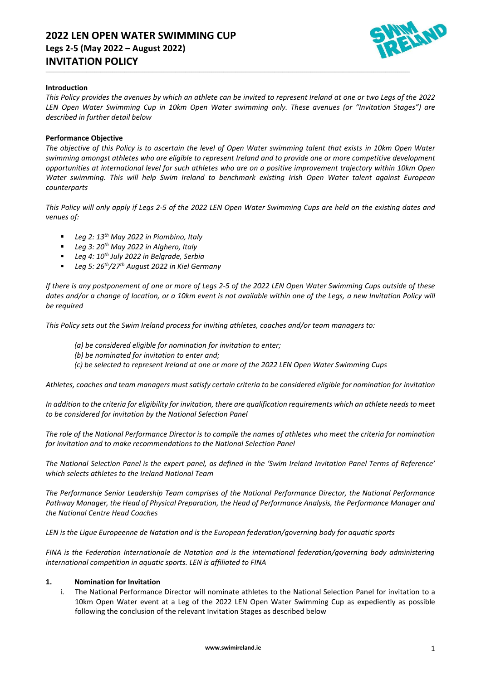# **2022 LEN OPEN WATER SWIMMING CUP Legs 2-5 (May 2022 – August 2022) INVITATION POLICY**



### **Introduction**

*This Policy provides the avenues by which an athlete can be invited to represent Ireland at one or two Legs of the 2022 LEN Open Water Swimming Cup in 10km Open Water swimming only. These avenues (or "Invitation Stages") are described in further detail below*

\_\_\_\_\_\_\_\_\_\_\_\_\_\_\_\_\_\_\_\_\_\_\_\_\_\_\_\_\_\_\_\_\_\_\_\_\_\_\_\_\_\_\_\_\_\_\_\_\_\_\_\_\_\_\_\_\_\_\_\_\_\_\_\_\_\_\_\_\_\_\_\_\_\_\_\_\_\_\_\_\_\_\_\_\_\_\_\_\_\_\_\_\_\_\_\_\_\_\_\_\_\_\_\_\_\_\_\_\_\_\_\_\_\_\_\_\_\_\_\_\_\_\_\_\_\_\_\_\_\_\_\_\_\_\_\_\_\_\_\_\_\_\_\_\_\_\_\_\_\_\_\_\_\_\_\_\_\_\_\_\_\_\_\_\_\_\_\_\_\_\_\_\_\_\_\_\_\_\_\_

#### **Performance Objective**

*The objective of this Policy is to ascertain the level of Open Water swimming talent that exists in 10km Open Water swimming amongst athletes who are eligible to represent Ireland and to provide one or more competitive development opportunities at international level for such athletes who are on a positive improvement trajectory within 10km Open Water swimming. This will help Swim Ireland to benchmark existing Irish Open Water talent against European counterparts*

*This Policy will only apply if Legs 2-5 of the 2022 LEN Open Water Swimming Cups are held on the existing dates and venues of:*

- *Leg 2: 13th May 2022 in Piombino, Italy*
- *Leg 3: 20 th May 2022 in Alghero, Italy*
- *Leg 4: 10 th July 2022 in Belgrade, Serbia*
- *Leg 5: 26 th/27th August 2022 in Kiel Germany*

*If there is any postponement of one or more of Legs 2-5 of the 2022 LEN Open Water Swimming Cups outside of these dates and/or a change of location, or a 10km event is not available within one of the Legs, a new Invitation Policy will be required*

*This Policy sets out the Swim Ireland process for inviting athletes, coaches and/or team managers to:*

- *(a) be considered eligible for nomination for invitation to enter;*
- *(b) be nominated for invitation to enter and;*
- *(c) be selected to represent Ireland at one or more of the 2022 LEN Open Water Swimming Cups*

*Athletes, coaches and team managers must satisfy certain criteria to be considered eligible for nomination for invitation*

*In addition to the criteria for eligibility for invitation, there are qualification requirements which an athlete needs to meet to be considered for invitation by the National Selection Panel*

*The role of the National Performance Director is to compile the names of athletes who meet the criteria for nomination for invitation and to make recommendations to the National Selection Panel*

*The National Selection Panel is the expert panel, as defined in the 'Swim Ireland Invitation Panel Terms of Reference' which selects athletes to the Ireland National Team*

*The Performance Senior Leadership Team comprises of the National Performance Director, the National Performance Pathway Manager, the Head of Physical Preparation, the Head of Performance Analysis, the Performance Manager and the National Centre Head Coaches*

*LEN is the Ligue Europeenne de Natation and is the European federation/governing body for aquatic sports*

*FINA is the Federation Internationale de Natation and is the international federation/governing body administering international competition in aquatic sports. LEN is affiliated to FINA*

## **1. Nomination for Invitation**

i. The National Performance Director will nominate athletes to the National Selection Panel for invitation to a 10km Open Water event at a Leg of the 2022 LEN Open Water Swimming Cup as expediently as possible following the conclusion of the relevant Invitation Stages as described below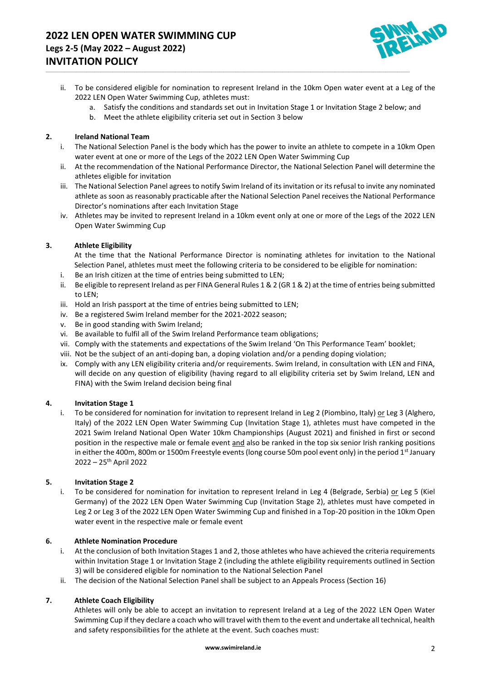

ii. To be considered eligible for nomination to represent Ireland in the 10km Open water event at a Leg of the 2022 LEN Open Water Swimming Cup, athletes must:

\_\_\_\_\_\_\_\_\_\_\_\_\_\_\_\_\_\_\_\_\_\_\_\_\_\_\_\_\_\_\_\_\_\_\_\_\_\_\_\_\_\_\_\_\_\_\_\_\_\_\_\_\_\_\_\_\_\_\_\_\_\_\_\_\_\_\_\_\_\_\_\_\_\_\_\_\_\_\_\_\_\_\_\_\_\_\_\_\_\_\_\_\_\_\_\_\_\_\_\_\_\_\_\_\_\_\_\_\_\_\_\_\_\_\_\_\_\_\_\_\_\_\_\_\_\_\_\_\_\_\_\_\_\_\_\_\_\_\_\_\_\_\_\_\_\_\_\_\_\_\_\_\_\_\_\_\_\_\_\_\_\_\_\_\_\_\_\_\_\_\_\_\_\_\_\_\_\_\_\_

- a. Satisfy the conditions and standards set out in Invitation Stage 1 or Invitation Stage 2 below; and
- b. Meet the athlete eligibility criteria set out in Section 3 below

## **2. Ireland National Team**

- i. The National Selection Panel is the body which has the power to invite an athlete to compete in a 10km Open water event at one or more of the Legs of the 2022 LEN Open Water Swimming Cup
- ii. At the recommendation of the National Performance Director, the National Selection Panel will determine the athletes eligible for invitation
- iii. The National Selection Panel agrees to notify Swim Ireland of its invitation or its refusal to invite any nominated athlete as soon as reasonably practicable after the National Selection Panel receives the National Performance Director's nominations after each Invitation Stage
- iv. Athletes may be invited to represent Ireland in a 10km event only at one or more of the Legs of the 2022 LEN Open Water Swimming Cup

## **3. Athlete Eligibility**

At the time that the National Performance Director is nominating athletes for invitation to the National Selection Panel, athletes must meet the following criteria to be considered to be eligible for nomination:

- i. Be an Irish citizen at the time of entries being submitted to LEN;
- ii. Be eligible to represent Ireland as per FINA General Rules 1 & 2 (GR 1 & 2) at the time of entries being submitted to LEN;
- iii. Hold an Irish passport at the time of entries being submitted to LEN;
- iv. Be a registered Swim Ireland member for the 2021-2022 season;
- v. Be in good standing with Swim Ireland;
- vi. Be available to fulfil all of the Swim Ireland Performance team obligations;
- vii. Comply with the statements and expectations of the Swim Ireland 'On This Performance Team' booklet;
- viii. Not be the subject of an anti-doping ban, a doping violation and/or a pending doping violation;
- ix. Comply with any LEN eligibility criteria and/or requirements. Swim Ireland, in consultation with LEN and FINA, will decide on any question of eligibility (having regard to all eligibility criteria set by Swim Ireland, LEN and FINA) with the Swim Ireland decision being final

## **4. Invitation Stage 1**

i. To be considered for nomination for invitation to represent Ireland in Leg 2 (Piombino, Italy) or Leg 3 (Alghero, Italy) of the 2022 LEN Open Water Swimming Cup (Invitation Stage 1), athletes must have competed in the 2021 Swim Ireland National Open Water 10km Championships (August 2021) and finished in first or second position in the respective male or female event and also be ranked in the top six senior Irish ranking positions in either the 400m, 800m or 1500m Freestyle events (long course 50m pool event only) in the period 1<sup>st</sup> January 2022 – 25 th April 2022

## **5. Invitation Stage 2**

i. To be considered for nomination for invitation to represent Ireland in Leg 4 (Belgrade, Serbia) or Leg 5 (Kiel Germany) of the 2022 LEN Open Water Swimming Cup (Invitation Stage 2), athletes must have competed in Leg 2 or Leg 3 of the 2022 LEN Open Water Swimming Cup and finished in a Top-20 position in the 10km Open water event in the respective male or female event

## **6. Athlete Nomination Procedure**

- i. At the conclusion of both Invitation Stages 1 and 2, those athletes who have achieved the criteria requirements within Invitation Stage 1 or Invitation Stage 2 (including the athlete eligibility requirements outlined in Section 3) will be considered eligible for nomination to the National Selection Panel
- ii. The decision of the National Selection Panel shall be subject to an Appeals Process (Section 16)

## **7. Athlete Coach Eligibility**

Athletes will only be able to accept an invitation to represent Ireland at a Leg of the 2022 LEN Open Water Swimming Cup if they declare a coach who will travel with them to the event and undertake all technical, health and safety responsibilities for the athlete at the event. Such coaches must: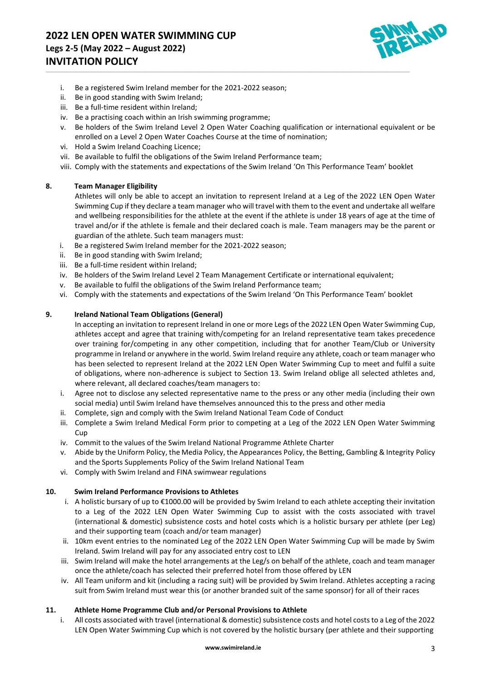

- i. Be a registered Swim Ireland member for the 2021-2022 season;
- ii. Be in good standing with Swim Ireland;
- iii. Be a full-time resident within Ireland;
- iv. Be a practising coach within an Irish swimming programme;
- v. Be holders of the Swim Ireland Level 2 Open Water Coaching qualification or international equivalent or be enrolled on a Level 2 Open Water Coaches Course at the time of nomination;
- vi. Hold a Swim Ireland Coaching Licence;
- vii. Be available to fulfil the obligations of the Swim Ireland Performance team;
- viii. Comply with the statements and expectations of the Swim Ireland 'On This Performance Team' booklet

\_\_\_\_\_\_\_\_\_\_\_\_\_\_\_\_\_\_\_\_\_\_\_\_\_\_\_\_\_\_\_\_\_\_\_\_\_\_\_\_\_\_\_\_\_\_\_\_\_\_\_\_\_\_\_\_\_\_\_\_\_\_\_\_\_\_\_\_\_\_\_\_\_\_\_\_\_\_\_\_\_\_\_\_\_\_\_\_\_\_\_\_\_\_\_\_\_\_\_\_\_\_\_\_\_\_\_\_\_\_\_\_\_\_\_\_\_\_\_\_\_\_\_\_\_\_\_\_\_\_\_\_\_\_\_\_\_\_\_\_\_\_\_\_\_\_\_\_\_\_\_\_\_\_\_\_\_\_\_\_\_\_\_\_\_\_\_\_\_\_\_\_\_\_\_\_\_\_\_\_

#### **8. Team Manager Eligibility**

Athletes will only be able to accept an invitation to represent Ireland at a Leg of the 2022 LEN Open Water Swimming Cup if they declare a team manager who will travel with them to the event and undertake all welfare and wellbeing responsibilities for the athlete at the event if the athlete is under 18 years of age at the time of travel and/or if the athlete is female and their declared coach is male. Team managers may be the parent or guardian of the athlete. Such team managers must:

- i. Be a registered Swim Ireland member for the 2021-2022 season;
- ii. Be in good standing with Swim Ireland;
- iii. Be a full-time resident within Ireland;
- iv. Be holders of the Swim Ireland Level 2 Team Management Certificate or international equivalent;
- v. Be available to fulfil the obligations of the Swim Ireland Performance team;
- vi. Comply with the statements and expectations of the Swim Ireland 'On This Performance Team' booklet

#### **9. Ireland National Team Obligations (General)**

In accepting an invitation to represent Ireland in one or more Legs of the 2022 LEN Open Water Swimming Cup, athletes accept and agree that training with/competing for an Ireland representative team takes precedence over training for/competing in any other competition, including that for another Team/Club or University programme in Ireland or anywhere in the world. Swim Ireland require any athlete, coach or team manager who has been selected to represent Ireland at the 2022 LEN Open Water Swimming Cup to meet and fulfil a suite of obligations, where non-adherence is subject to Section 13. Swim Ireland oblige all selected athletes and, where relevant, all declared coaches/team managers to:

- i. Agree not to disclose any selected representative name to the press or any other media (including their own social media) until Swim Ireland have themselves announced this to the press and other media
- ii. Complete, sign and comply with the Swim Ireland National Team Code of Conduct
- iii. Complete a Swim Ireland Medical Form prior to competing at a Leg of the 2022 LEN Open Water Swimming Cup
- iv. Commit to the values of the Swim Ireland National Programme Athlete Charter
- v. Abide by the Uniform Policy, the Media Policy, the Appearances Policy, the Betting, Gambling & Integrity Policy and the Sports Supplements Policy of the Swim Ireland National Team
- vi. Comply with Swim Ireland and FINA swimwear regulations

#### **10. Swim Ireland Performance Provisions to Athletes**

- i. A holistic bursary of up to €1000.00 will be provided by Swim Ireland to each athlete accepting their invitation to a Leg of the 2022 LEN Open Water Swimming Cup to assist with the costs associated with travel (international & domestic) subsistence costs and hotel costs which is a holistic bursary per athlete (per Leg) and their supporting team (coach and/or team manager)
- ii. 10km event entries to the nominated Leg of the 2022 LEN Open Water Swimming Cup will be made by Swim Ireland. Swim Ireland will pay for any associated entry cost to LEN
- iii. Swim Ireland will make the hotel arrangements at the Leg/s on behalf of the athlete, coach and team manager once the athlete/coach has selected their preferred hotel from those offered by LEN
- iv. All Team uniform and kit (including a racing suit) will be provided by Swim Ireland. Athletes accepting a racing suit from Swim Ireland must wear this (or another branded suit of the same sponsor) for all of their races

#### **11. Athlete Home Programme Club and/or Personal Provisions to Athlete**

i. All costs associated with travel (international & domestic) subsistence costs and hotel costs to a Leg of the 2022 LEN Open Water Swimming Cup which is not covered by the holistic bursary (per athlete and their supporting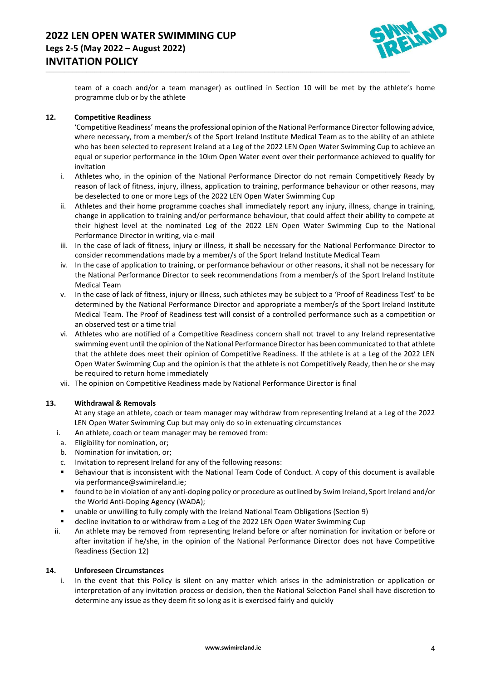

team of a coach and/or a team manager) as outlined in Section 10 will be met by the athlete's home programme club or by the athlete

\_\_\_\_\_\_\_\_\_\_\_\_\_\_\_\_\_\_\_\_\_\_\_\_\_\_\_\_\_\_\_\_\_\_\_\_\_\_\_\_\_\_\_\_\_\_\_\_\_\_\_\_\_\_\_\_\_\_\_\_\_\_\_\_\_\_\_\_\_\_\_\_\_\_\_\_\_\_\_\_\_\_\_\_\_\_\_\_\_\_\_\_\_\_\_\_\_\_\_\_\_\_\_\_\_\_\_\_\_\_\_\_\_\_\_\_\_\_\_\_\_\_\_\_\_\_\_\_\_\_\_\_\_\_\_\_\_\_\_\_\_\_\_\_\_\_\_\_\_\_\_\_\_\_\_\_\_\_\_\_\_\_\_\_\_\_\_\_\_\_\_\_\_\_\_\_\_\_\_\_

## **12. Competitive Readiness**

'Competitive Readiness' means the professional opinion of the National Performance Director following advice, where necessary, from a member/s of the Sport Ireland Institute Medical Team as to the ability of an athlete who has been selected to represent Ireland at a Leg of the 2022 LEN Open Water Swimming Cup to achieve an equal or superior performance in the 10km Open Water event over their performance achieved to qualify for invitation

- i. Athletes who, in the opinion of the National Performance Director do not remain Competitively Ready by reason of lack of fitness, injury, illness, application to training, performance behaviour or other reasons, may be deselected to one or more Legs of the 2022 LEN Open Water Swimming Cup
- ii. Athletes and their home programme coaches shall immediately report any injury, illness, change in training, change in application to training and/or performance behaviour, that could affect their ability to compete at their highest level at the nominated Leg of the 2022 LEN Open Water Swimming Cup to the National Performance Director in writing, via e-mail
- iii. In the case of lack of fitness, injury or illness, it shall be necessary for the National Performance Director to consider recommendations made by a member/s of the Sport Ireland Institute Medical Team
- iv. In the case of application to training, or performance behaviour or other reasons, it shall not be necessary for the National Performance Director to seek recommendations from a member/s of the Sport Ireland Institute Medical Team
- v. In the case of lack of fitness, injury or illness, such athletes may be subject to a 'Proof of Readiness Test' to be determined by the National Performance Director and appropriate a member/s of the Sport Ireland Institute Medical Team. The Proof of Readiness test will consist of a controlled performance such as a competition or an observed test or a time trial
- vi. Athletes who are notified of a Competitive Readiness concern shall not travel to any Ireland representative swimming event until the opinion of the National Performance Director has been communicated to that athlete that the athlete does meet their opinion of Competitive Readiness. If the athlete is at a Leg of the 2022 LEN Open Water Swimming Cup and the opinion is that the athlete is not Competitively Ready, then he or she may be required to return home immediately
- vii. The opinion on Competitive Readiness made by National Performance Director is final

# **13. Withdrawal & Removals**

At any stage an athlete, coach or team manager may withdraw from representing Ireland at a Leg of the 2022 LEN Open Water Swimming Cup but may only do so in extenuating circumstances

- i. An athlete, coach or team manager may be removed from:
- a. Eligibility for nomination, or;
- b. Nomination for invitation, or;
- c. Invitation to represent Ireland for any of the following reasons:
- Behaviour that is inconsistent with the National Team Code of Conduct. A copy of this document is available vi[a performance@swimireland.ie;](mailto:performance@swimireland.ie)
- found to be in violation of any anti-doping policy or procedure as outlined by Swim Ireland, Sport Ireland and/or the World Anti-Doping Agency (WADA);
- unable or unwilling to fully comply with the Ireland National Team Obligations (Section 9)
- decline invitation to or withdraw from a Leg of the 2022 LEN Open Water Swimming Cup
- ii. An athlete may be removed from representing Ireland before or after nomination for invitation or before or after invitation if he/she, in the opinion of the National Performance Director does not have Competitive Readiness (Section 12)

## **14. Unforeseen Circumstances**

i. In the event that this Policy is silent on any matter which arises in the administration or application or interpretation of any invitation process or decision, then the National Selection Panel shall have discretion to determine any issue as they deem fit so long as it is exercised fairly and quickly